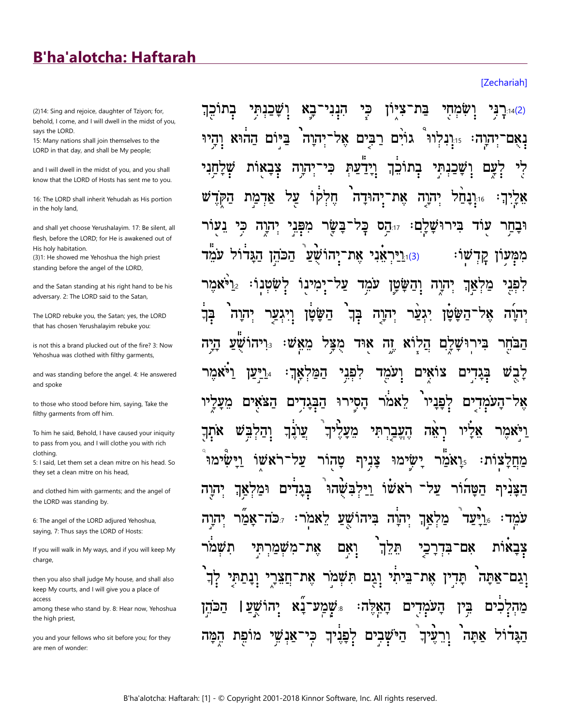## **B'ha'alotcha: Haftarah**

(2)14: Sing and rejoice, daughter of Tziyon; for, behold, I come, and I will dwell in the midst of you, says the LORD.

15: Many nations shall join themselves to the LORD in that day, and shall be My people;

and I will dwell in the midst of you, and you shall know that the LORD of Hosts has sent me to you.

16: The LORD shall inherit Yehudah as His portion in the holy land,

and shall yet choose Yerushalayim. 17: Be silent, all flesh, before the LORD; for He is awakened out of His holy habitation.

(3)1: He showed me Yehoshua the high priest standing before the angel of the LORD,

and the Satan standing at his right hand to be his adversary. 2: The LORD said to the Satan,

The LORD rebuke you, the Satan; yes, the LORD that has chosen Yerushalayim rebuke you:

is not this a brand plucked out of the fire? 3: Now Yehoshua was clothed with filthy garments,

and was standing before the angel. 4: He answered and spoke

to those who stood before him, saying, Take the filthy garments from off him.

To him he said, Behold, I have caused your iniquity to pass from you, and I will clothe you with rich clothing

5: I said, Let them set a clean mitre on his head. So they set a clean mitre on his head,

and clothed him with garments; and the angel of the LORD was standing by.

6: The angel of the LORD adjured Yehoshua, saying, 7: Thus says the LORD of Hosts:

If you will walk in My ways, and if you will keep My charge.

then you also shall judge My house, and shall also keep My courts, and I will give you a place of access

among these who stand by. 8: Hear now, Yehoshua the high priest,

you and your fellows who sit before you; for they are men of wonder:

כְּי בתוכֵךְ וִשֲׁכֲנִתִּי <u>ַבא</u> הִנְנִי בת־ציון ושמחי <u>(2)14(2)</u> בַּי גוֹיִם רַבִּיִם אֶל־יְהוָה ביום ההוא והיו יִהוָה: 15ֵיִנְלְווּ בְתוֹכֵךְ וידעת שכנתי' צבאות <u>ְיָהוָ</u>ה כי לחני עם חֱלִקוֹ על <sub>וּוּ</sub>וָנָחַל יִהוָה אֲת־יָהוּדָה <sub>·</sub> אדמת בִּירוּשָׁלָם: זוּהַס בָּל־בָּשָׂר מפני יהוה עוד <u>וּוֹי</u>ּרִאֲנִי אֶת־יָהוֹשָׁעַ הַכֹּהֵן הַגַּדוֹל עֹמֵד) :ט' עֹמֻד ריאמר? יִמְינוֹ וִהַשָּׂטָן לשטנו: צַל יִהוַה מַקִאַךְ יִהוָה בְּךְ יגער השטן אל־השטו בְּך יהוה יהוה **מאַש:** ריהושע. מַצַל הלוא זה אוּד בִּירוּשַׁלַם היה הבחר לִפְנֵי צוֿאים ויאמר המל ועמֵד בגדים ריען. אך∶ הַסְירוּ לאמר לִפַּנַיו מעליו הצאים הַבְּגַדִים ים העמד 78 וְהַלְבֵּשׁ עוֹנִךְ מעליך הֵעֱבַרִתִּי אתִך ויאמר ראה 78 ֿעַל־רֹאַשׁוֹ צַנִיף ישימו וישימו טהור ואמר: מחלצות: וּמלאַך על־ רֹאשׁוֹ ויּלִבּשׁהוּ הטהור בגדים הצנית יהוה ביהוֹשׁעַ לאמֹר: גּכֹה־אַמַר יהוה מלאך ריעד. עמד הוה  $\ddot{\cdot}$ תְּלֵךְ תשמר אִם־בִּדְרַכַי צבאות את־משמרתי ואם תַּדְין אֵת־בֵּיתִי וְגַם תִּשָּׁמֹר וֲנַתַּחִי אָת־חֲצִרָי ־אתה וְגַם יהו שמע־נא שע ו הכהן האלה: ים העמד בֵין מהלכים הַיֹּשָׁבִים לִפְּנֶיךָ מופת ־אַנשי כי' עֵיך אתה הגדול ור המה

**IZechariahl**